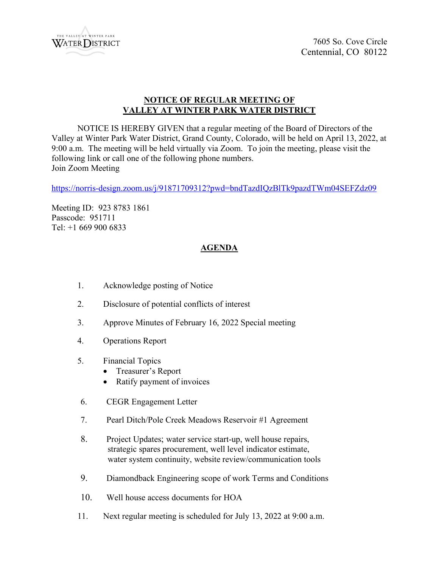

## **NOTICE OF REGULAR MEETING OF VALLEY AT WINTER PARK WATER DISTRICT**

NOTICE IS HEREBY GIVEN that a regular meeting of the Board of Directors of the Valley at Winter Park Water District, Grand County, Colorado, will be held on April 13, 2022, at 9:00 a.m. The meeting will be held virtually via Zoom. To join the meeting, please visit the following link or call one of the following phone numbers. Join Zoom Meeting

<https://norris-design.zoom.us/j/91871709312?pwd=bndTazdIQzBlTk9pazdTWm04SEFZdz09>

Meeting ID: 923 8783 1861 Passcode: 951711 Tel: +1 669 900 6833

## **AGENDA**

- 1. Acknowledge posting of Notice
- 2. Disclosure of potential conflicts of interest
- 3. Approve Minutes of February 16, 2022 Special meeting
- 4. Operations Report
- 5. Financial Topics
	- Treasurer's Report
	- Ratify payment of invoices
- 6. CEGR Engagement Letter
- 7. Pearl Ditch/Pole Creek Meadows Reservoir #1 Agreement
- 8. Project Updates; water service start-up, well house repairs, strategic spares procurement, well level indicator estimate, water system continuity, website review/communication tools
- 9. Diamondback Engineering scope of work Terms and Conditions
- 10. Well house access documents for HOA
- 11. Next regular meeting is scheduled for July 13, 2022 at 9:00 a.m.